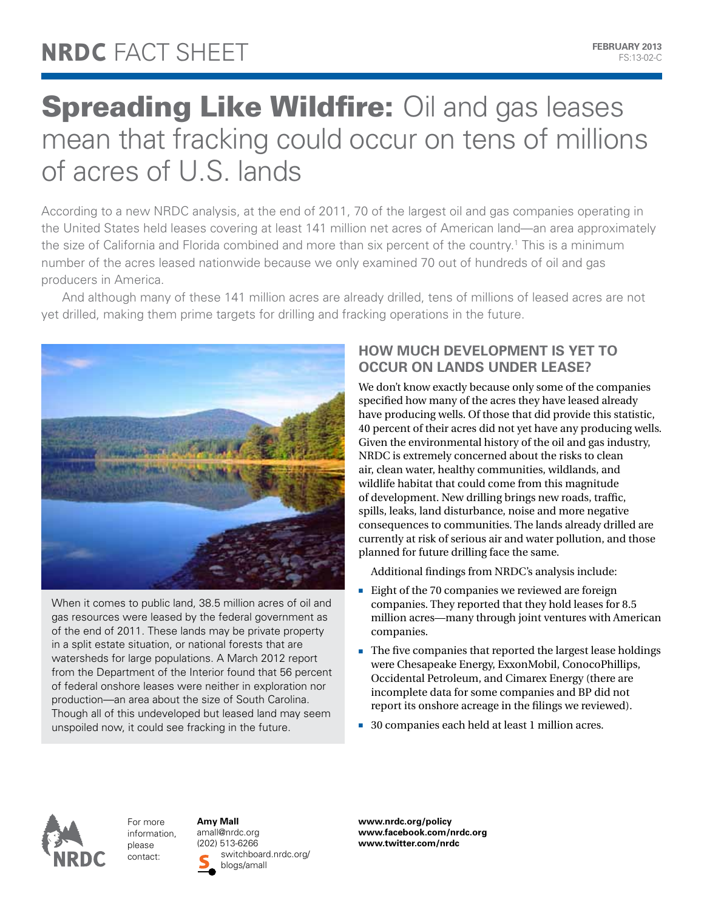## **Spreading Like Wildfire: Oil and gas leases** mean that fracking could occur on tens of millions of acres of U.S. lands

According to a new NRDC analysis, at the end of 2011, 70 of the largest oil and gas companies operating in the United States held leases covering at least 141 million net acres of American land—an area approximately the size of California and Florida combined and more than six percent of the country.<sup>1</sup> This is a minimum number of the acres leased nationwide because we only examined 70 out of hundreds of oil and gas producers in America.

And although many of these 141 million acres are already drilled, tens of millions of leased acres are not yet drilled, making them prime targets for drilling and fracking operations in the future.



When it comes to public land, 38.5 million acres of oil and gas resources were leased by the federal government as of the end of 2011. These lands may be private property in a split estate situation, or national forests that are watersheds for large populations. A March 2012 report from the Department of the Interior found that 56 percent of federal onshore leases were neither in exploration nor production—an area about the size of South Carolina. Though all of this undeveloped but leased land may seem unspoiled now, it could see fracking in the future.

## **How much development is yet to occur on lands under lease?**

We don't know exactly because only some of the companies specified how many of the acres they have leased already have producing wells. Of those that did provide this statistic, 40 percent of their acres did not yet have any producing wells. Given the environmental history of the oil and gas industry, NRDC is extremely concerned about the risks to clean air, clean water, healthy communities, wildlands, and wildlife habitat that could come from this magnitude of development. New drilling brings new roads, traffic, spills, leaks, land disturbance, noise and more negative consequences to communities. The lands already drilled are currently at risk of serious air and water pollution, and those planned for future drilling face the same.

Additional findings from NRDC's analysis include:

- Eight of the 70 companies we reviewed are foreign companies. They reported that they hold leases for 8.5 million acres—many through joint ventures with American companies.
- n The five companies that reported the largest lease holdings were Chesapeake Energy, ExxonMobil, ConocoPhillips, Occidental Petroleum, and Cimarex Energy (there are incomplete data for some companies and BP did not report its onshore acreage in the filings we reviewed).
- 30 companies each held at least 1 million acres.



For more information, please contact:

**Amy Mall** amall@nrdc.org (202) 513-6266 switchboard.nrdc.org/ blogs/amall

**www.nrdc.org/policy www.facebook.com/nrdc.org www.twitter.com/nrdc**